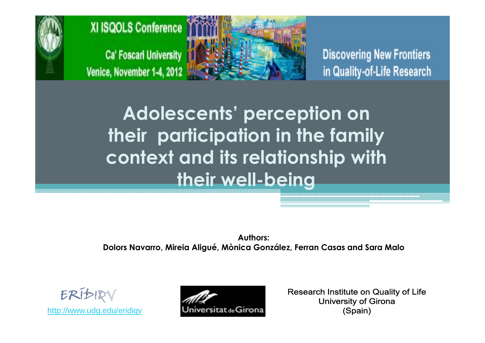



**Discovering New Frontiers** in Quality-of-Life Research

Adolescents' perception on their participation in the family context and its relationship with their well-being

Authors: Dolors Navarro, Mireia Aligué, Mònica González, Ferran Casas and Sara Malo



http://www.udg.edu/eridiqv



Research Institute on Quality of Life **University of Girona** (Spain)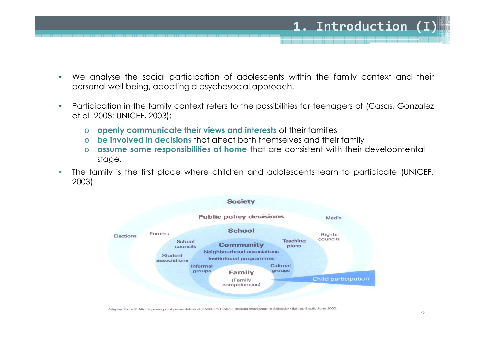

- $\bullet$  Participation in the family context refers to the possibilities for teenagers of (Casas, Gonzalez et al. 2008; UNICEF, 2003):
	- oopenly communicate their views and interests of their families
	- obe involved in decisions that affect both themselves and their family
	- oassume some responsibilities at home that are consistent with their developmental stage.
- • The family is the first place where children and adolescents learn to participate (UNICEF, 2003)



Adapted from R. Nimi's powerpoint presentation at UNICEF's Global Lifeskills Workshop in Salvador (Bahia), Brazil, June 2002.

1. Introduction (I)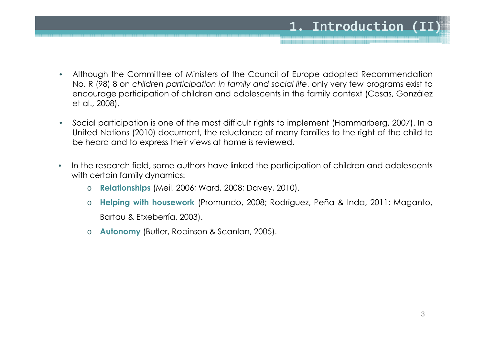- $\bullet$  Although the Committee of Ministers of the Council of Europe adopted Recommendation No. <sup>R</sup> (98) <sup>8</sup> on children participation in family and social life, only very few programs exist to encourage participation of children and adolescents in the family context (Casas, González et al., 2008).
- $\bullet$  Social participation is one of the most difficult rights to implement (Hammarberg, 2007). In <sup>a</sup> United Nations (2010) document, the reluctance of many families to the right of the child to be heard and to express their views at home is reviewed.
- • In the research field, some authors have linked the participation of children and adolescents with certain family dynamics:
	- o Relationships (Meil, 2006; Ward, 2008; Davey, 2010).
	- o Helping with housework (Promundo, 2008; Rodríguez, Peña & Inda, 2011; Maganto, Bartau & Etxeberría, 2003).
	- oAutonomy (Butler, Robinson & Scanlan, 2005).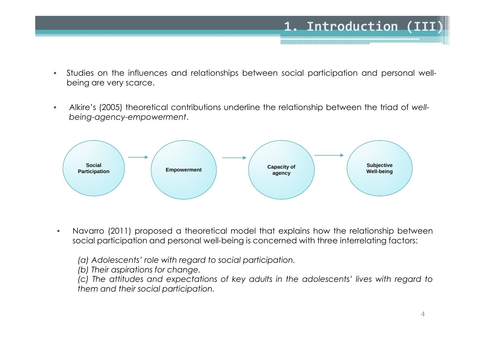- $\bullet$  Studies on the influences and relationships between social participation and personal wellbeing are very scarce.
- • Alkire's (2005) theoretical contributions underline the relationship between the triad of wellbeing-agency-empowerment.



 $\bullet$  Navarro (2011) proposed <sup>a</sup> theoretical model that explains how the relationship between social participation and personal well-being is concerned with three interrelating factors:

(a) Adolescents' role with regard to social participation.

(b) Their aspirations for change.

(c) The attitudes and expectations of key adults in the adolescents' lives with regard to them and their social participation.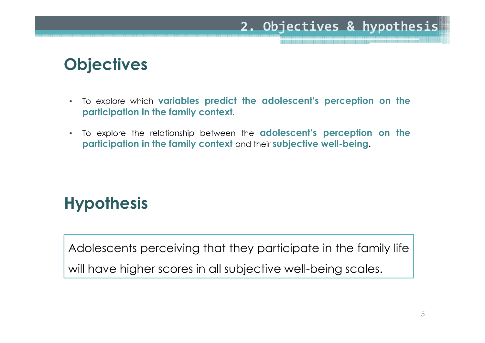#### 2. Objectives & hypothesis

## **Objectives**

- $\bullet$ To explore which **variables predict the adolescent's perception on the** participation in the family context.
- $\bullet$ To explore the relationship between the **adolescent's perception on the** participation in the family context and their subjective well-being.

## **Hypothesis**

Adolescents perceiving that they participate in the family life will have higher scores in all subjective well-being scales.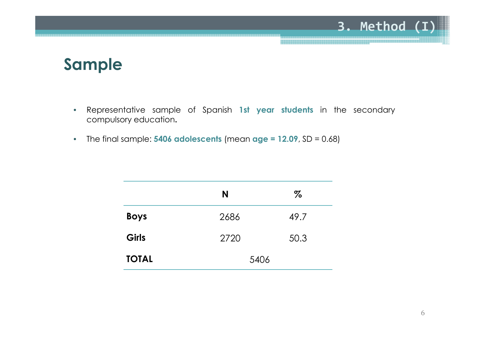#### 3. Method (I)

#### Sample

- •Representative sample of Spanish 1st year students in the secondary compulsory education.
- •The final sample:  $5406$  adolescents (mean age =  $12.09$ , SD = 0.68)

|              | N    | $\%$ |
|--------------|------|------|
| <b>Boys</b>  | 2686 | 49.7 |
| Girls        | 2720 | 50.3 |
| <b>TOTAL</b> | 5406 |      |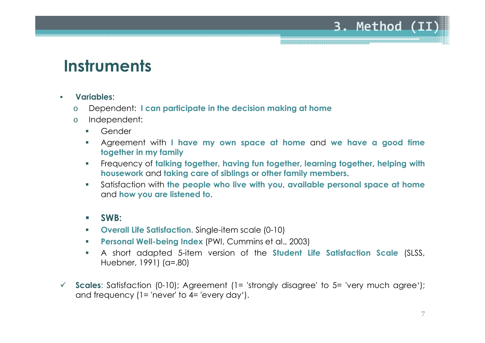#### **Instruments**

- • Variables:
	- oDependent: <sup>I</sup> can participate in the decision making at home
	- o Independent:
		- $\mathcal{L}_{\rm{max}}$ Gender
		- $\mathcal{L}_{\mathcal{A}}$ Agreement with I have my own space at home and we have a good time together in my family
		- $\mathcal{L}_{\mathcal{A}}$  Frequency of talking together, having fun together, learning together, helping with housework and taking care of siblings or other family members.
		- $\mathcal{C}^{\mathcal{A}}$  Satisfaction with the people who live with you, available personal space at home and how you are listened to.
		- $\mathcal{L}_{\mathcal{A}}$ SWB:
		- $\mathcal{L}_{\mathcal{A}}$ Overall Life Satisfaction. Single-item scale (0-10)
		- $\mathcal{L}_{\mathcal{A}}$ Personal Well-being Index (PWI, Cummins et al., 2003)
		- $\mathcal{L}_{\mathcal{A}}$  <sup>A</sup> short adapted 5-item version of the Student Life Satisfaction Scale (SLSS, Huebner, 1991) (α=.80)
- $\checkmark$  Scales: Satisfaction (0-10); Agreement (1= 'strongly disagree' to 5= 'very much agree'); and frequency (1= 'never' to 4= 'every day').

3. Method (II)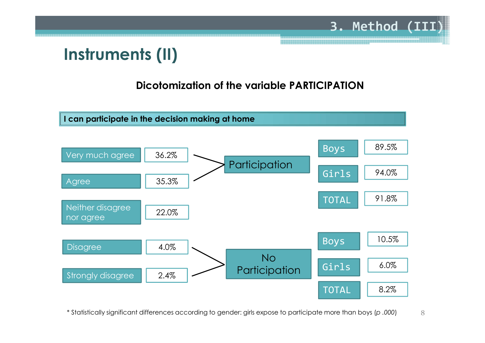## Instruments (II)

#### Dicotomization of the variable PARTICIPATION

3. Method (III)



8\* Statistically significant differences according to gender: girls expose to participate more than boys (p .000)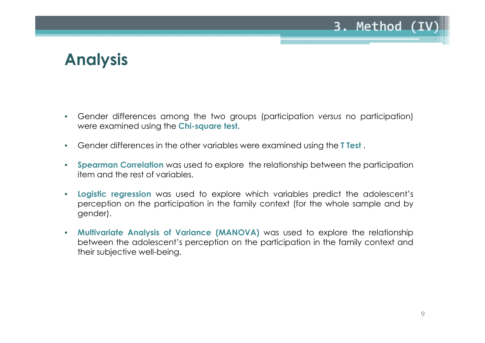#### 3. Method (I

## Analysis

- • Gender differences among the two groups (participation versus no participation) were examined using the Chi-square test.
- •Gender differences in the other variables were examined using the **T Test**.
- • Spearman Correlation was used to explore the relationship between the participation item and the rest of variables.
- • Logistic regression was used to explore which variables predict the adolescent's perception on the participation in the family context (for the whole sample and by gender).
- • Multivariate Analysis of Variance (MANOVA) was used to explore the relationship between the adolescent's perception on the participation in the family context and their subjective well-being.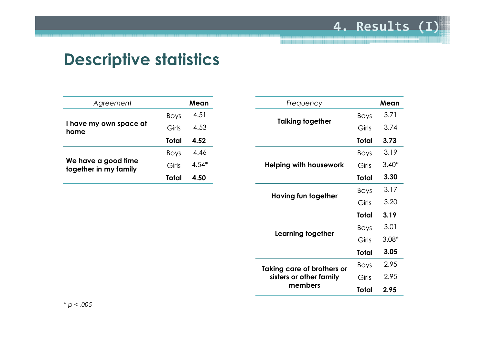#### 4. Results (I)

### Descriptive statistics

| Agreement                                    |             | Mean    |
|----------------------------------------------|-------------|---------|
|                                              | <b>Boys</b> | 4.51    |
| I have my own space at<br>home               | Girls       | 4.53    |
|                                              | Total       | 4.52    |
|                                              | <b>Boys</b> | 4.46    |
| We have a good time<br>together in my family | Girls       | $4.54*$ |
|                                              | Total       | 4.50    |

| Frequency                  |             | Mean    |
|----------------------------|-------------|---------|
|                            | Boys        | 3.71    |
| <b>Talking together</b>    | Girls       | 3.74    |
|                            | Total       | 3.73    |
|                            | <b>Boys</b> | 3.19    |
| Helping with housework     | Girls       | $3.40*$ |
|                            | Total       | 3.30    |
|                            | <b>Boys</b> | 3.17    |
| Having fun together        | Girls       | 3.20    |
|                            | Total       | 3.19    |
|                            | <b>Boys</b> | 3.01    |
| Learning together          | Girls       | $3.08*$ |
|                            | Total       | 3.05    |
| Taking care of brothers or | Boys        | 2.95    |
| sisters or other family    | Girls       | 2.95    |
| members                    | Total       | 2.95    |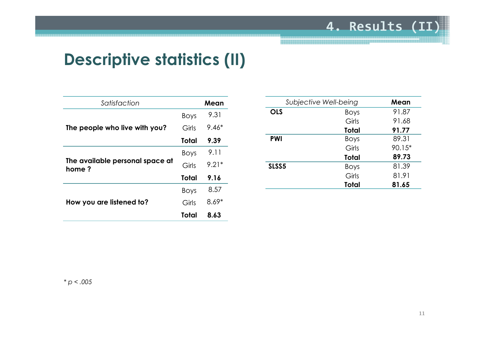## Descriptive statistics (II)

| Satisfaction                             |             | Mean    |
|------------------------------------------|-------------|---------|
|                                          | <b>Boys</b> | 9.31    |
| The people who live with you?            | Girls       | $9.46*$ |
|                                          | Total       | 9.39    |
|                                          | <b>Boys</b> | 9.11    |
| The available personal space at<br>home? | Girls       | $9.21*$ |
|                                          | Total       | 9.16    |
|                                          | <b>Boys</b> | 8.57    |
| How you are listened to?                 | Girls       | $8.69*$ |
|                                          | Total       | 8.63    |

|                   | Subjective Well-being | Mean   |
|-------------------|-----------------------|--------|
| <b>OLS</b>        | <b>Boys</b>           | 91.87  |
|                   | Girls                 | 91.68  |
|                   | Total                 | 91.77  |
| <b>PWI</b>        | <b>Boys</b>           | 89.31  |
|                   | Girls                 | 90.15* |
|                   | Total                 | 89.73  |
| SLSS <sub>5</sub> | <b>Boys</b>           | 81.39  |
|                   | Girls                 | 81.91  |
|                   | Total                 | 81.65  |
|                   |                       |        |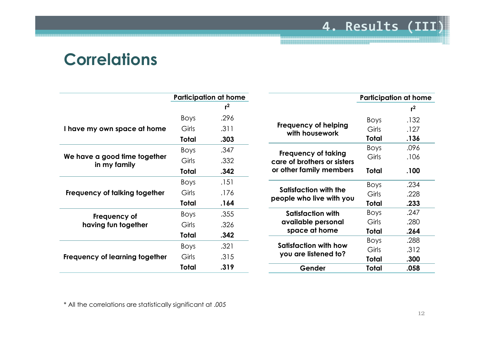#### 4. Results (III)

#### **Correlations**

|                                              |             | <b>Participation at home</b> |                               |
|----------------------------------------------|-------------|------------------------------|-------------------------------|
|                                              |             | $r^2$                        |                               |
|                                              | <b>Boys</b> | .296                         |                               |
| I have my own space at home                  | Girls       | .311                         | Frequency of h<br>with housew |
|                                              | Total       | .303                         |                               |
|                                              | <b>Boys</b> | .347                         | Frequency of                  |
| We have a good time together<br>in my family | Girls       | .332                         | care of brothers              |
|                                              | Total       | .342                         | or other family n             |
|                                              | <b>Boys</b> | .151                         |                               |
| Frequency of talking together                | Girls       | .176                         | <b>Satisfaction wi</b>        |
|                                              | Total       | .164                         | people who live               |
| Frequency of                                 | <b>Boys</b> | .355                         | <b>Satisfaction</b>           |
| having fun together                          | Girls       | .326                         | available per                 |
|                                              | Total       | .342                         | space at ho                   |
|                                              | Boys        | .321                         | <b>Satisfaction wit</b>       |
| Frequency of learning together               | Girls       | .315                         | you are listene               |
|                                              | Total       | .319                         | Gender                        |
|                                              |             |                              |                               |

|       | <b>Participation at home</b> |
|-------|------------------------------|
|       | $r^2$                        |
| Boys  | .132                         |
| Girls | .127                         |
| Total | .136                         |
| Boys  | .096                         |
| Girls | .106                         |
| Total | .100                         |
| Boys  | .234                         |
| Girls | .228                         |
| Total | .233                         |
| Boys  | .247                         |
| Girls | .280                         |
| Total | .264                         |
| Boys  | .288                         |
| Girls | .312                         |
| Total | .300                         |
| Total | .058                         |
|       |                              |

\* All the correlations are statistically significant at .005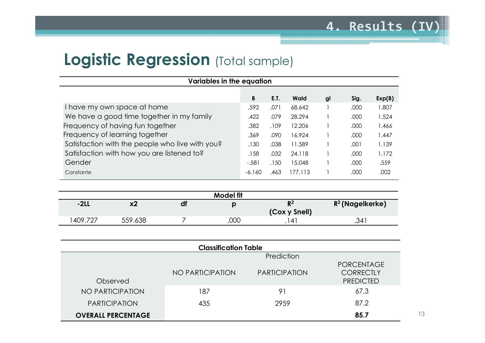### **Logistic Regression** (Total sample)

| Variables in the equation                       |          |      |         |    |      |        |
|-------------------------------------------------|----------|------|---------|----|------|--------|
|                                                 | B        | E.T. | Wald    | gl | Sig. | Exp(B) |
| I have my own space at home                     | .592     | .071 | 68.642  |    | .000 | 1.807  |
| We have a good time together in my family       | .422     | .079 | 28.294  |    | .000 | 1.524  |
| Frequency of having fun together                | .382     | .109 | 12.206  |    | .000 | 1.466  |
| Frequency of learning together                  | .369     | .090 | 16.924  |    | .000 | 1.447  |
| Satisfaction with the people who live with you? | .130     | .038 | 11.589  |    | .001 | 1.139  |
| Satisfaction with how you are listened to?      | .158     | .032 | 24.118  |    | .000 | 1.172  |
| Gender                                          | $-.581$  | .150 | 15.048  |    | .000 | .559   |
| Constante                                       | $-6.160$ | .463 | 177.113 |    | .000 | .002   |
|                                                 |          |      |         |    |      |        |

|         |         |    | <b>Model fit</b> |               |                    |
|---------|---------|----|------------------|---------------|--------------------|
| $-2LL$  | x2      | dl |                  | D2            | $R^2$ (Nagelkerke) |
|         |         |    |                  | (Cox y Snell) |                    |
| 409.727 | 559.638 |    | .000             |               | .341               |
|         |         |    |                  |               |                    |

| <b>Classification Table</b> |                  |                      |                                                           |  |
|-----------------------------|------------------|----------------------|-----------------------------------------------------------|--|
|                             |                  | Prediction           |                                                           |  |
| Observed                    | NO PARTICIPATION | <b>PARTICIPATION</b> | <b>PORCENTAGE</b><br><b>CORRECTLY</b><br><b>PREDICTED</b> |  |
| NO PARTICIPATION            | 187              | 91                   | 67.3                                                      |  |
| <b>PARTICIPATION</b>        | 435              | 2959                 | 87.2                                                      |  |
| <b>OVERALL PERCENTAGE</b>   |                  |                      | 85.7                                                      |  |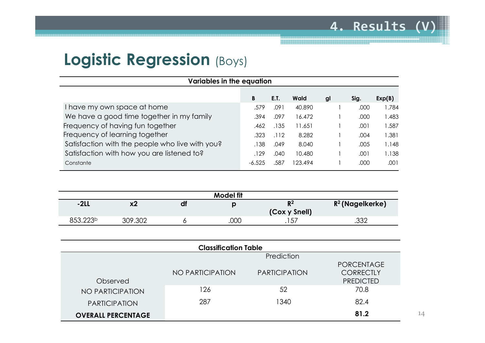#### Logistic Regression (Boys)

| <b>Variables in the equation</b>                |          |      |         |    |      |        |
|-------------------------------------------------|----------|------|---------|----|------|--------|
|                                                 | B        | E.T. | Wald    | gl | Sig. | Exp(B) |
| I have my own space at home                     | .579     | .091 | 40.890  |    | .000 | 1.784  |
| We have a good time together in my family       | .394     | .097 | 16.472  |    | .000 | 1.483  |
| Frequency of having fun together                | .462     | .135 | 11.651  |    | .001 | 1.587  |
| Frequency of learning together                  | .323     | .112 | 8.282   |    | .004 | 1.381  |
| Satisfaction with the people who live with you? | .138     | .049 | 8.040   |    | .005 | 1.148  |
| Satisfaction with how you are listened to?      | .129     | .040 | 10.480  |    | .001 | 1.138  |
| Constante                                       | $-6.525$ | .587 | 123.494 |    | .000 | .001   |

| $-2LL$<br>df<br>x2                      | $R^2$ (Nagelkerke)<br>$R^2$ |
|-----------------------------------------|-----------------------------|
|                                         | (Cox y Snell)               |
| 853.223 <sup>b</sup><br>.000<br>309.302 | つつつ<br>. 57<br>.∪∪∠<br>.    |

| <b>Classification Table</b> |                  |                      |                                                           |  |  |  |  |
|-----------------------------|------------------|----------------------|-----------------------------------------------------------|--|--|--|--|
|                             |                  | Prediction           |                                                           |  |  |  |  |
| Observed                    | NO PARTICIPATION | <b>PARTICIPATION</b> | <b>PORCENTAGE</b><br><b>CORRECTLY</b><br><b>PREDICTED</b> |  |  |  |  |
| NO PARTICIPATION            | 126              | 52                   | 70.8                                                      |  |  |  |  |
| <b>PARTICIPATION</b>        | 287              | 1340                 | 82.4                                                      |  |  |  |  |
| <b>OVERALL PERCENTAGE</b>   |                  |                      | 81.2                                                      |  |  |  |  |

14

4. Results (V)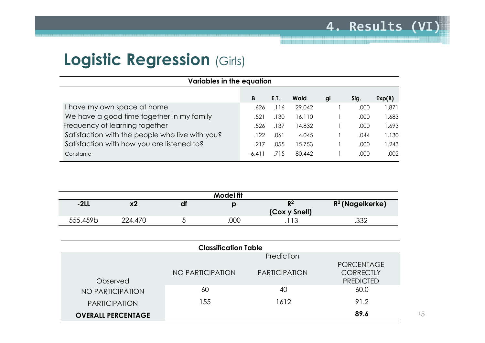### Logistic Regression (Girls)

| Variables in the equation |                                                 |          |      |        |    |      |        |  |
|---------------------------|-------------------------------------------------|----------|------|--------|----|------|--------|--|
|                           |                                                 | B        | E.T. | Wald   | gl | Sig. | Exp(B) |  |
|                           | I have my own space at home                     | .626     | .116 | 29.042 |    | .000 | 1.871  |  |
|                           | We have a good time together in my family       | .521     | .130 | 16.110 |    | .000 | 1.683  |  |
|                           | Frequency of learning together                  | .526     | .137 | 14.832 |    | .000 | 1.693  |  |
|                           | Satisfaction with the people who live with you? | .122     | .061 | 4.045  |    | .044 | 1.130  |  |
|                           | Satisfaction with how you are listened to?      | .217     | .055 | 15.753 |    | .000 | 1.243  |  |
|                           | Constante                                       | $-6.411$ | .715 | 80.442 |    | .000 | .002   |  |
|                           |                                                 |          |      |        |    |      |        |  |

| <b>Model fit</b> |          |  |       |               |                    |  |  |  |
|------------------|----------|--|-------|---------------|--------------------|--|--|--|
| $-2LL$           | v.<br>^4 |  | $R^2$ |               | $R^2$ (Nagelkerke) |  |  |  |
|                  |          |  |       | (Cox y Snell) |                    |  |  |  |
| 555.459b         | 224.470  |  | .000  | ີ 1 2<br>ں ا  | ろろひ<br>∠ب.         |  |  |  |

| <b>Classification Table</b> |                  |                      |                                                           |  |  |  |  |
|-----------------------------|------------------|----------------------|-----------------------------------------------------------|--|--|--|--|
|                             |                  | Prediction           |                                                           |  |  |  |  |
| Observed                    | NO PARTICIPATION | <b>PARTICIPATION</b> | <b>PORCENTAGE</b><br><b>CORRECTLY</b><br><b>PREDICTED</b> |  |  |  |  |
| NO PARTICIPATION            | 60               | 40                   | 60.0                                                      |  |  |  |  |
| <b>PARTICIPATION</b>        | 55               | 1612                 | 91.2                                                      |  |  |  |  |
| <b>OVERALL PERCENTAGE</b>   |                  |                      | 89.6                                                      |  |  |  |  |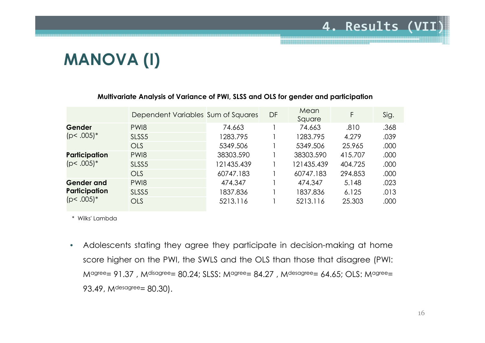# MANOVA (I)

|                   | Dependent Variables Sum of Squares |            | DF | Mean<br>Square | F       | Sig. |
|-------------------|------------------------------------|------------|----|----------------|---------|------|
| Gender            | PW <sub>18</sub>                   | 74.663     |    | 74.663         | .810    | .368 |
| $(p<.005)*$       | SLSS <sub>5</sub>                  | 1283.795   |    | 1283.795       | 4.279   | .039 |
|                   | <b>OLS</b>                         | 5349.506   |    | 5349.506       | 25.965  | .000 |
| Participation     | PW <sub>18</sub>                   | 38303.590  |    | 38303.590      | 415.707 | .000 |
| $(p<.005)*$       | SLSS <sub>5</sub>                  | 121435.439 |    | 121435.439     | 404.725 | .000 |
|                   | <b>OLS</b>                         | 60747.183  |    | 60747.183      | 294.853 | .000 |
| <b>Gender and</b> | PW <sub>18</sub>                   | 474.347    |    | 474.347        | 5.148   | .023 |
| Participation     | SLSS <sub>5</sub>                  | 1837.836   |    | 1837.836       | 6.125   | .013 |
| $(p<.005)*$       | <b>OLS</b>                         | 5213.116   |    | 5213.116       | 25.303  | .000 |

#### Multivariate Analysis of Variance of PWI, SLSS and OLS for gender and participation

\* Wilks' Lambda

 $\bullet$  Adolescents stating they agree they participate in decision-making at home score higher on the PWI, the SWLS and the OLS than those that disagree (PWI:  $M$ agree= 91.37, M<sup>disagree</sup>= 80.24; SLSS: Magree= 84.27, Mdesagree= 64.65; OLS: Magree= 93.49, M<sup>desagree</sup>= 80.30).

4. Results (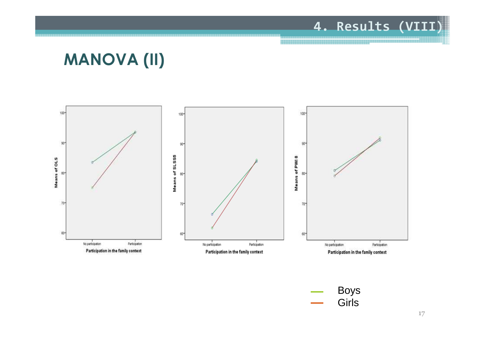#### 4. Results (VIII)

## MANOVA (II)



Boys Girls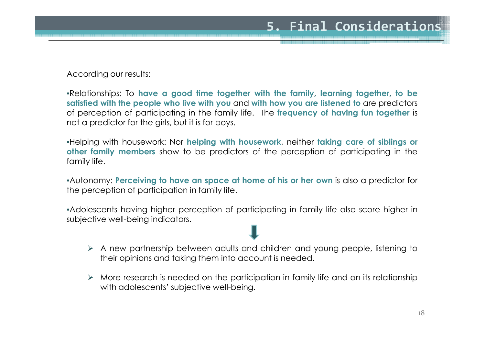According our results:

•Relationships: To have <sup>a</sup> good time together with the family, learning together, to be satisfied with the people who live with you and with how you are listened to are predictors of perception of participating in the family life. The frequency of having fun together is not <sup>a</sup> predictor for the girls, but it is for boys.

•Helping with housework: Nor helping with housework, neither taking care of siblings or other family members show to be predictors of the perception of participating in the family life.

•Autonomy: Perceiving to have an space at home of his or her own is also <sup>a</sup> predictor for the perception of participation in family life.

•Adolescents having higher perception of participating in family life also score higher in subjective well-being indicators.

- A new partnership between adults and children and young people, listening to<br>their enjoing and taking them into account is readed their opinions and taking them into account is needed.
- $\triangleright$  More research is needed on the participation in family life and on its relationship with adolescents' subjective well-being.